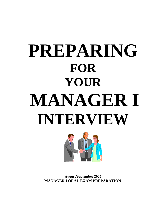# **PREPARING FOR YOUR MANAGER I INTERVIEW**



**August/September 2005 MANAGER I ORAL EXAM PREPARATION**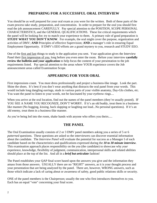# **PREPARING FOR A SUCCESSFUL ORAL INTERVIEW**

You should be as well prepared for your oral exam as you were for the written. Both of these parts of the exam process take study, preparation, and concentration. In order to prepare for the oral you should first read the job announcement CAREFULLY. Pay special attention to the POSITION, SCOPE PERSONAL CHARACTERISTICS, and the GENERAL QUALIFICATIONS. These list critical requirements which the panel will be looking for; try to match your experience to them. A primary rule of good preparation is **STUDY WHAT YOU DON'T KNOW.** For example, the oral might cover the purpose, organization and activities of DMV; **AND** Principles of effective Supervision; **AND** a manager's role in ensuring Equal Employment Opportunity. If DMV's EEO efforts are a grand mystery to you, research and STUDY EEO.

One of the first and last things to study is the application you sent. Your application gives the Interview Panel their first impression of you, long before you even enter the room. Before your interview **carefully review the bulletin and your application** to help focus the content of your presentation to the job requirements listed. Pay special attention to the areas where YOUR experience covers the Job announcement areas called Examination Scope.

# **APPEARING FOR YOUR ORAL**

First impressions count. You must dress professionally and project a business-like image. Look the part. Shine the shoes. It's best if you don't wear anything that distracts the oral panel from your words. This would include long dangling earrings, studs in various parts of your visible anatomy, Day-Glo clothes, etc. You want the panel to listen to your words, not be fascinated by your eyebrow rings....

When you arrive at the oral location, find out the names of the panel members (they're usually posted). IF YOU SEE A NAME YOU RECOGNIZE, DON'T WORRY. If it's an old buddy, treat them in a businesslike manner (No hugging, kissing, back slapping or laughing out loud...No personal questions). If it's an old enemy, treat them in a business-like manner.

As you're being led into the room, shake hands with anyone who offers you theirs.....

# **THE PANEL**

The Oral Examination usually consists of 2 or 3 DMV panel members asking you a series of 5 or 6 *patterned* questions. These questions are asked so the interviewers can discover essential information about the candidate. The *Interview Panel* will evaluate the potential for success as a Manager I of each candidate based on the characteristics and qualifications expressed during the *10 to 30 minute interview*. This examination approach places responsibility on the *you* (the candidate) to showcase why *your* experience, knowledge, flexibility of judgment, communication, interpersonal skills and related abilities should place at the top of the list. And all in a *brief but articulate* fashion!

The Panel establishes your QAP final score based upon the answers you give and the information they amass from those answers. USUALLY there are no "RIGHT" answers, as it is your thought process and your presentation that are being analyzed by the panel. There are, however, WRONG answers, such as those which indicate a lack of caring about or awareness of safety, good public relations skills or security.

ONE of the panel members is the Chairperson; usually the one who first introduces themselves to you. Each has an equal "vote" concerning your final score.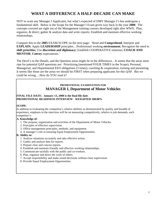# **WHAT A DIFFERENCE A HALF-DECADE CAN MAKE**

NOT to scare any Manager I Applicants, but what's expected of DMV Manager I's has undergone a fundamental shift. Below is the Scope for the Manager I Exam given way back in the year **2000**. The concepts covered are right out of the Management training courses developed right after WWII: Plan, organize, & direct; gather & analyze data and write reports; Establish and maintain effective working relationships.

Compare this to the **2005** EXAM SCOPE on the next page: 'Read and **Comprehend**; Interpret and **EXPLAIN**; Apply **LEADERSHIP** principles…Professional working **environment**; Recognize the need to **shift priorities**; Use **discretion and diplomacy**; Establish COOPERATIVE relations; **COACH AND MENTOR**; **Convey** expectations.'

The Devil's in the Details, and the Question areas might lie in the differences…It seems that the areas most ripe for potential QAP questions are: Prioritizing (mentioned FOUR TIMES in the Scope); Personal, Managerial, and Departmental EEO obligations (3 times); coaching & cooperation; training and presenting. It seems like those are the areas we should hit FIRST when preparing applicants for this QAP. But we could be wrong….How do YOU read it?

# **PROMOTIONAL EXAMINATION FOR MANAGER I, Department of Motor Vehicles**

#### **FINAL FILE DATE: January 13, 2000 is the final file date**. **PROMOTIONAL READINESS INTERVIEW - WEIGHTED 100.00%**

#### **SCOPE**:

In addition to evaluating the competitor's relative abilities as demonstrated by quality and breadth of experience, emphasis in the interview will be on measuring competitively, relative to job demands, each competitor's:

#### **A. Knowledge of:**

- 1. The purpose, organization and activities of the Department of Motor Vehicles.
- 2. Principles of effective supervision.
- 3. Office management principles, methods, and equipment.
- 4. A manager's role in ensuring Equal Employment Opportunities.

#### **B. Ability to:**

- 1. Analyze situations accurately and take effective action.
- 2. Gather and analyze data for reports.
- 3. Prepare clear and concise reports.
- 4. Establish and maintain friendly and effective working relationships.
- 5. Communicate tactfully with the public and co-workers.
- 6. Plan, organize and direct the work of others.
- 7. Accept responsibility and make sound decisions without close supervision.
- 8. Provide Equal Employment Opportunities.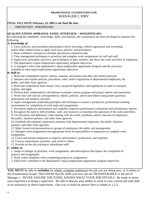#### **PROMOTIONAL EXAMINATION FOR**  MANAGER I, DMV

#### **FINAL FILE DATE February 24, 2005 is the final file date**.

WRITTEN TEST – WEIGHTED 60%

#### **QUALIFICATIONS APPRAISAL PANEL INTERVIEW – WEIGHTED 40%**

In evaluating the candidates' knowledge, skills, and abilities, the examination has been developed to measure the following:

#### **A. Knowledge of:**

1. Laws, policies, and procedures pertaining to driver licensing, vehicle registration and ownership,

and/or other related issues to apply such laws, policies, and procedures.

2. Basic arithmetic concepts to calculate and process numerical data.

3. Time management techniques to prioritize and complete work assignments for self and staff.

4. Supervisory principles, practices, and techniques to plan, monitor, and direct the work activities of employees.

5. The department's equal employment opportunity program objectives.

6. A manager's role in the department's equal employment opportunity program and the processes

available to meet equal employment opportunity objectives.

#### **B. Skill to:**

1. Read and comprehend reports, memos, manuals, documents and other job-related materials.

2. Interpret and explain policies, procedures, rules, and/or regulations to departmental employees, the public, and other State agencies.

3. Read and comprehend State statues, laws, proposed legislation, and regulations in order to interpret, explain, and apply.

4. Perform basic mathematical calculations to prepare various program and project reports and summaries.

5. Write clear and concise correspondence, reports, policies, and/or procedures using proper grammar, punctuation and sentence structure.

6. Apply management, leadership principles and techniques to ensure a productive, professional working environment for completion of work tasks and assignments.

7. Document employee performance and complete employee performance evaluations and probationary reports.

8. Recognize the need to shift priorities, staff, and resources to maximize the operation of the work unit/office.

9. Use discretion and diplomacy when dealing with the needs, problems, and/or concerns of employees, the public, business partners, and other State agencies.

10. Establish and maintain cooperative relations with departmental employees, the public, business partners, and other State agencies.

11. Make formal oral presentations to groups of employees, the public and management.

12. Delegate work assignments and appropriate level of responsibility to employees to complete work assignments.

13. Coach and mentor employees to improve performance, productivity and expertise.

14. Convey expectations, priorities, and vision to others.

15. Provide on-the-job training to subordinate staff.

#### **C. Ability to:**

1. Adapt to changes in priorities, work assignments, and interruptions that impact the completion of projects and assignments.

2. Work within deadlines when completing projects or assignments.

3. Effectively contribute to the department's equal employment opportunity program objectives.

**YOU MUST** be able to **verbalize** (in whole, complete sentences) the job you are doing now, as it relates to this Examination Scope; Then SHOW that the skills you now use are TRANSFERABLE to the job of Manager I. NEVER ASSUME THE PANEL KNOWS WHAT YOUR JOB ENTAILS. Be ready to stress your experience at being a supervisor. Be able to discuss your ability to work in your current job with little or no assistance or direct supervision. One way to build an answer here is simple as 1,2,3: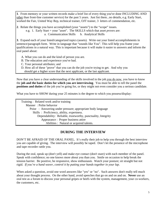**1**. From memory or your written records make a brief list of every thing you've done INCLUDING AND other than front-line customer service) for the past 5 years. Just list them...no details, e.g. Early Start, worked the Fair, United Way Rep, technical trainer, OJT trainer, 3 letters of commendation, etc.

**2**. Relate the things you have accomplished (your "assets") to the "scope" issues.

- e.g. 1. Early Start = your "asset". The SKILLS which that asset *proves* are:
	- a. Communication Skills b. Analytical Skills

**3**. Expand each of your listed/categorized topics (assets). Write out your listed accomplishments in sentence/paragraph form. Write in language that "sounds like You". This will help you frame your qualifications in a natural way. This is important because it will make it easier to answers and inform the oral panel about:

A. What you can do and the kind of person you are.

B. The education and experience you've had.

C. Your personal attributes; and

D. How all of these "prove" that you can do the job you're trying to get. And why you

should get a higher score that the next applicant, or the last applicant.

Now that you have a clear understanding of the skills involved in the job you do now, you have to know the **job and the basic duties for which you are interviewing**. You must be able to tell the panel the **positions and duties** of the job you're going for, or they might not even consider you a serious candidate.

What you have to SHOW during your 25 minutes is the degree to which you possess/display:

 Training : Related work and/or training Manner : Polite behavior Poise : Answering under pressure; appropriate body language Skills : Proficiency, ability, expertness. Dependability: Reliable, trustworthy, punctuality, Integrity Appearance : Proper business attire Abilities : Natural or acquired talents.

# **DURING THE INTERVIEW**

DON'T BE AFRAID OF THE ORAL PANEL. It's really their job to help you through the best interview you are capable of giving. The interview will possibly be taped. Don't let the presence of the microphone and tape recorder rattle you.

During the oral, speak up (don't yell) and make eye contact (don't stare) with each member of the panel. Speak with confidence; no one knows more about you than you. Smile on occasion to help break the tension barrier. Be positive, be responsive, show enthusiasm. Watch your posture; sit straight but not rigid. *If you're a hand waver, control it by putting your hands together in your lap*.

When asked a question, avoid one word answers like "yes" or "no". Such answers don't really tell much about your thought process. On the other hand, avoid speeches that go on and on and on. **Never** use an oral test as a forum to discuss your personal gripes or beefs with the system, management, your co-workers, the customers, etc.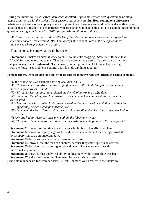During the interview, *Listen carefully to each question*. *If possible answer each question by relating actual experience with the subject*. Your answers must show **results. How you make a difference**. Whatever experience or examples you elect to present, you have to show as directly and specifically as possible that as a result of this experience, you are equipped to handle this job. For example, responding to question dealing with "*analytical Skills*"(scope: Ability #1) one *could* say:

 (**01**) "*I am an expert in registration. (02) All of the other techs come to me with their questions when supervisors aren't around. (03) I am always able to spot holes in the new procedures, and can see where problems will occur*".

That response is somewhat weak, because:

 **Statement 01** makes an *okay*, if *weak* point. It sounds like bragging. **Statement 02** says that I "wait" for people to come to me. That I am not a pro-active person. It's also a bit of a written slap at management. **Statement 03** says, again, I'm not pro-active, I let things happen. I go with the flow. I see problems coming, but I don't do anything about it.

#### In management, we're looking for people who do take the initiative, who are focused on positive solutions.

**So**, the following is an example showing analytical skills.

 (**01**) "*In November, I realized that the traffic flow in our office had changed: it didn't seem to move as efficiently as it should.* 

 *(02) My supervisor agreed, and assigned me the job of improving traffic flow.* 

 *(03) I observed the lobby; watching where customers came from and went, throughout the service area.* 

- *(04) A recent security problem had caused us to alter the function of one window, and that had apparently caused a change in traffic flow.*
- *(05) By moving the Start Here booth, we were able to readjust the directions a customer had to travel.*

 *(06) No one had to crisscross their own path in the lobby any longer.* 

 *(07) There have been numerous customer survey cards commenting on our efficient lay-out"*.

**Statement 01** shows a self motivated self starter who is able to identify a problem.

**Statement 02** shows an employee going through proper channels, and then being entrusted by a supervisor, to do an important task.

 **Statement 03** describes the analytical process actually used.

**Statement 04** "proves" that the tech can analyze, because they came up with an answer.

**Statement 05** describes the action suggested and taken. The supervisor trusts this individual's opinion.

**Statement 06** shows further analytical ability, indicating why the traffic flow was bad. **Statement 07** is the most important Statement, because it shows results.

(The bold numbers are for reference sake....DON'T number your answers in the interview)

 $\overline{a}$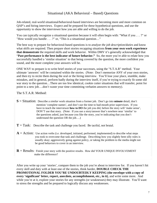# Situational (AKA Behavioral – Based) Questions

Job-related, real-world situational/behavioral-based interviews are becoming more and more common on QAP's and hiring interviews. Expect and be prepared for these hypothetical questions, and use the opportunity to show the interviewer how you are able and willing to do the job.

You can typically recognize a situational question because it will often begin with: "What if you . . . ?" or "How would you handle . . . ?" or, "This is a situational question…"

The best way to prepare for behavioral-based questions is to *analyze the job description/duties* and know what *skills* are required. Then prepare short stories recapping situations **from your own work experience that demonstrate** the required skills and work behavior. Within DMV it's generally acknowledged that "Past performance is the best indicator of future behavior." So, the more you're able to relate how you successfully handled a 'similar situation' to that being covered by the question, the more confident you sound, and the more complete your answers will be.

ONE WAY to prepare is to write brief stories of your successes, using the "S.T.A.R" method. Your ultimate 'answers' will be contained within the stories. (Note: Don't memorize ANY of your own stories, and then try to recite them during the oral or the hiring interview. You'll lose your place, stumble, make mistakes, and in general, perform badly during the interview itself, if you're trying to exactly fit some old war story to the question…There are too few identical, cookie cutter situations that will transfer, point for point to a new job….don't waste your time committing verbatim answers to memory).

The S.T.A.R. Method:

- **S** = Situation: Describe a *similar* work situation from a former job. Don't go into **minute** detail, don't mention 'complete names', and don't use the time to bad-mouth prior supervisors. If you have to teach the interviewer **how to DO** the job you did, before the story will 'make sense', DON'T use that story. (Note: If you use a story/answer that's nowhere near 'similar' to the questions asked, just because you like the story, you're indicating that you don't understand the question OR the job….)
- $T = Task:$  Describe the task and challenge you faced. Be tactful, not brutal.
- $A =$  Action: Use action verbs (i.e. developed, initiated, performed, implemented) to describe what steps you took to overcome that task and challenge. Describing how you slightly bent silly rules is usually okay; aggressively going against policy, or taking the problem to the media might not be good behaviors to cover in an interview.
- $$ make the difference?

After you write up your 'stories', compare them to the job you're about to interview for. If you haven't hit every skill and duty with at least one of the stories, think harder, **DOUBLE CHECK THE PROMOTIONAL FOLDER YOU'RE UNDOUBTEDLY KEEPING (the envelope with a copy of every 'significant' letter, report, anecdote, accomplishment, etc., in it)**, and write some more. And while you're at it, explore your stories for any strengths (or weaknesses) they may illustrate. You'll want to stress the strengths and be prepared to logically discuss any weaknesses.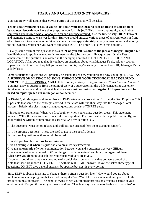# **TOPICS AND QUESTIONS (NOT ANSWERS)**

You can pretty well assume that SOME FORM of this question will be asked:

**Tell us about yourself** or **Could you tell us about your background as it relates to this position** or **What experience do you have that prepares you for this job?** This is your opportunity to talk about something you know a whole lot about: You and your background. Use the time wisely. **DON'T** invent and memorize some rote answer for this. But you should practice various types of answers/topics in front of a mirror or into a tape recorder/video camera. Know **approximately** what you want to say and **exactly** the skills/duties/experience you want to talk about (SEE The Three E's, later in this booklet).

Usually, some form of this question is asked: **"Can you tell us some of the jobs a Manager I might do?**" We Field-centric applicants tend to fail to mention the jobs they do in Headquarters. On the Test announcement the question is answered in the paragraph entitled POSITION DESCRIPTION AND LOCATION. After you read that, if you have an questions about what Manager I's do, ask any section supervisor....Not only can they tell you what their job is, they're usually in contact with HQ Manager I's on a daily basis.

Some "situational" questions will probably be asked, to see how you think and how you might **REACT AS A SUPERVISOR** MAKING DECISIONS**, USING BOTH YOUR TECHNICAL BACKGROUND AND YOUR SUPERVISORY ABILITIES**. *For supervisory orals, you cannot "think like a technician*." You must answer questions from the point of view of a supervisor, all the while considering **C**ustomer **S**ervice as the framework within which all answers must be constructed. **Again, ALL questions will be based on topics spelled out in the job announcement**.

In 1996-97, all Managers and Supervisors in DMV attended a class entitled "Hiring the Best Employee." It is possible that some of the concepts covered in that class will find their way into the Manager I oral process. Briefly, the class taught that good questions consist of THREE parts:

I Introductory statement: When you first begin or when you change question areas. This statement indicates WHY the soon to be mentioned skill is important. E.g. We deal with the public constantly, so good verbal & written communications are vital...So my question is....

II The question: Must be job related and skill/attitude oriented (See the test announcement).

III The probing questions. These are used to get to the specific details. Further, such questions as these might be asked:

How did you handle your **last** Irate Customer...

Give an **example of when** it's justifiable to break Policy/Procedure

Give me an **example of when** communication between you and a customer was very difficult.

Give example of when you had LOTS of things to do "at one time" and how you organized them... What **have you done** in your job that you considered very creative....

If you will, could you give me an example of a quick decision you made that you were proud of.... Note that these are indeed OPEN-ENDED, with no real RIGHT answer. If you are asked these type of questions, DO NOT give general answers; be specific but not nit-picky boring.

Since DMV is always in a state of change, there's often a question like, "How would you go about implementing a new program that seemed unpopular" or, "You take over a new unit and you're told the production must increase". The panel is trying to see your thought process on affecting change in your environment...Do you throw up your hands and say, "The boss says we have to do this, so that's that" or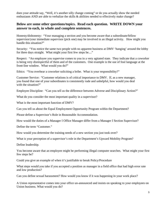does your attitude say, "Well, it's another silly change coming" or do you actually show the needed enthusiasm AND are able to verbalize the skills & abilities needed to effectively make change?

# **Below are some other questions/topics. Read each question. WRITE DOWN your answer to each, in whole and complete sentences.**

Honesty/dishonesty: "Your managing a section and you become aware that a subordinate/fellow supervisor/your immediate supervisor (pick one) may be involved in an illegal activity. How might you handle this situation?"

Security: "You notice the same two people with no apparent business at DMV 'hanging' around the lobby for three days straight. What might your first few steps be...."

Respect: "An employee you supervise comes to you in a very agitated state. They indicate that a coworker is being very disrespectful of them and of the customers. One example is the use of foul language at the front-line window. What would you do?"

Ethics: "You overhear a coworker soliciting a bribe. What is your responsibility?"

Customer Service: "Customer relations is of critical importance to DMV. If, as a new manager, you found that one of your subordinates is consistently rude and unhelpful, how would you deal with the situation?"

Employee Discipline: "Can you tell us the difference between Adverse and Disciplinary Action?"

What do you consider the most important quality in a supervisor?

What is the most important function of DMV?

Can you tell us about the Equal Employment Opportunity Program within the Department?

Please define a Supervisor's Role in Reasonable Accommodation.

How would the duties of a Manager I Office Manager differ from a Manager I Section Supervisor?

Define the term "Customer."

How would you determine the training needs of a new section you just took over?

What is your perception of a supervisor's role in the Department's Upward Mobility Program?

Define leadership.

You become aware that an employee might be performing illegal computer searches. What might your first few steps be?

Could you give an example of when it's justifiable to break Policy/Procedure

What steps would you take if you accepted a position as manager in a field office that had high error rate and low production?

Can you define sexual harassment? How would you know if it was happening in your work place?

A Union representative comes into your office un-announced and insists on speaking to your employees on Union business. What would you do?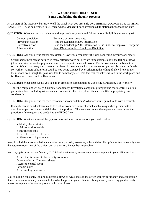#### **A FEW QUESTIONS DISCUSSED (Some data behind the thought process)**

At the start of the interview be ready to tell the panel what you presently do.....BRIEFLY, CONCISELY, WITHOUT RAMBLING! Also be prepared to tell them what a Manager I does at various duty stations throughout the state.

**QUESTION:** What are the basic adverse action procedures you should follow before disciplining an employee?

| Contract provisions | Be aware of union contracts.                                               |
|---------------------|----------------------------------------------------------------------------|
| Preventative action | Read the Leadership 2000 information                                       |
| Corrective action   | Read the Leadership 2000 information $\&$ the Guide to Employee Discipline |
| Adverse action      | Read DMV's Guide to Employee Discipline                                    |

**QUESTION:** Can you define sexual harassment? How would you know if it was happening in your work place?

Sexual harassment can be defined in many different ways but here are three examples: it is the telling of lewd jokes or stories, unwanted physical contact, or a request for sexual favors. The harassment can be blatant or subtle. We all can pretty much recognize blatant harassment such as a male worker putting his hands on female co-worker. A more subtle form could be you being offended by overhearing the telling of a lewd joke in the break room even though the joke was told to somebody else. The fact that the joke was told in the work place and is offensive to you could be Harassment.

**QUESTION:** What steps would you take if an employee complained she was being harassed by a co-worker?

Take the complaint seriously; Guarantee anonymity; Investigate complaint promptly and thoroughly; Talk to all parties involved, including witnesses, and document fully; Discipline offenders swiftly, appropriately, and consistently.

**QUESTION:** Can you define the term reasonable accommodations? What are you required to do with a request?

It simply means an adjustment made to a job or work environment which enables a qualified person with a disability to perform the essential duties of the position. The manager review the request and determines the propriety of the request and sends it to the EEO Office.

**QUESTION:** What are some of the types of reasonable accommodations you could make?

- a. Modify the work site
- b. Adjust work schedule.
- c. Restructure jobs.
- d. Provides assertive devices.
- e. Alternation job placement.

Keep in mind the accommodation cannot be unduly costly, extensive, substantial or disruptive, or fundamentally alter the nature or operation of the office, unit or division. Remember reasonable.

You may gets questions on "security." Think of what security measures you have in place in your office such as:

 A staff that is trained to be security conscious. Opening/closing Check-off sheets Access to control room Periodic skims Access to key cabinets. etc.

You should be constantly looking as possible flaws or weak spots in the office security for money and accountable items. You are ultimately responsible for what happens in your office involving security so having good security measures in place offers some protection in case of loss.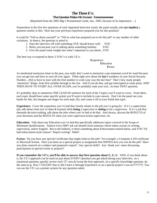# **The Three E's: That Question Makes Me Scream! Eeeeeeeeeeeeeeee**

(Reprinted from the 2005 Mgr I Promotional Guide, Jan., 2005, because of its importance….)

Somewhere in the first few questions of each Appraisal Interview (oral), the panel usually asks **(or implies)** a question similar to this: How has your previous experience prepared you for this position?

It could be "Tell us about yourself" or "Tell us what has prepared you to do this job" or any number of other variations. In theory, the question is asked to

- 1. Start the interview off with something YOU should know well: YOU
- 2. Relax you because you're talking about something familiar: YOU
- 3. Give the panel some insight into what's important to you about...YOU

The best way to respond to those 3 YOU's is with 3 E's:

 **E**xperience **E**ducation **E**xtras

As mentioned numerous times in the past, you really don't want to memorize a pat statement word for word because you can get lost and have to start all over again. Think right now about the **last** 4 numbers of your Social Security Number....Did ya have to start with the first number to work your way the last four? That's how many people 'memorize' things: from first syllable through to the last. And if you do that, and get interrupted at some point, AND THEN HAVE TO START ALL OVER AGAIN, you've probably sunk your oral...At least THAT question.

It's probably okay to memorize ONE LEAD-IN sentence for each of the 3 topics you'll want to cover. From there, each topic should have some specific points you'll want to include in your answer. Don't let the panel see your hands for this, but imagine one finger for each topic (E), and count it off as your finish that topic.

**Experience:** Cover the experience you've had that closely relates to the *job you're going for*. If it's a supervision job, talk about what you've done & learned while **being** a supervisor or **sitting** in for a supervisor. If it's a job that demands decision making, talk about the jobs where you've had to do that. And always, discuss the RESULTS of your decisions and the RESULTS when you were supervisor/action supervisor, etc.

**Education:** Talk about any Education you've had that specifically addresses topics covered in the Scope or Minimum Qualifications. Almost every DMV job can benefit from someone whose taken courses in writing, supervision, and/or English. But in the bulletin, is there something about Enforcement-related duties, and YOU'VE had enforcement-style classes? Report writing? Math?

**Extras:** Do you have any special Certificates that might relate to the job? For example, a Computer LAN certificate or Microsoft license. Have you been on a special project or assignment that SHOWS how you can do the job? Have you done research on a subject and prepared a report? Any special skills? Any 'thank you' notes discussing participation in special events or projects?

**If you remember the 3 E's, you'll be able to answer that first question about U, U, U.** AND, if you think about it, the 3 E's approach can be used on just about EVERY Question you get asked during your interview...in a situational question, quickly review each "E" area & locate the best approach...In a specific knowledge question, do the same (e.g. Was I TAUGHT that or did I learn it through Experience or on a special project I was on???????) You can use the 3 E's as a pointer system for any question asked.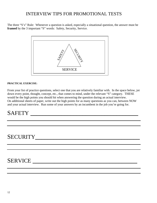# INTERVIEW TIPS FOR PROMOTIONAL TESTS

The three "S's" Rule: Whenever a question is asked, especially a situational question, the answer must be framed by the 3 important "S" words: Safety, Security, Service.



#### **PRACTICAL EXERCISE:**

From your list of practice questions, select one that you are relatively familiar with. In the space below, jot down every point, thought, concept, etc., that comes to mind, under the relevant "S" category. THESE would be the high points you should hit when answering the question during an actual interview. On additional sheets of paper, write out the high points for as many questions as you can, between NOW and your actual interview. Run some of your answers by an incumbent in the job you're going for.

# SAFETY **\_\_\_\_\_\_\_\_\_\_\_\_\_\_\_\_\_\_\_\_\_\_\_\_\_\_\_\_\_\_\_\_\_\_\_**

# SECURITY**\_\_\_\_\_\_\_\_\_\_\_\_\_\_\_\_\_\_\_\_\_\_\_\_\_\_\_\_\_\_\_\_\_\_**

# SERVICE **\_\_\_\_\_\_\_\_\_\_\_\_\_\_\_\_\_\_\_\_\_\_\_\_\_\_\_\_\_\_\_\_\_\_**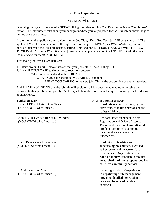# Job Title Dependence Or You Know What I Mean

One thing that gets in the way of a GREAT Hiring Interview or high Oral Exam score is the "**You Know**" factor. The Interviewer asks about your background/how you've prepared for the new job/or about the jobs you've done or do now.

In their mind, the applicant often defaults to the Job Title; "I'm a Reg Tech [*or LRE or whatever*]." The applicant MIGHT then hit some of the high points of the job of MVFR [*or LRE or whatever*], but in the back of their mind the Job Title keeps asserting itself, and "**EVERYBODY KNOWS WHAT A REG TECH DOES"** [*or an LRE or Whatever*]. And many people depend on the JOB TITLE to do the bulk of the interview for them! YOU KNOW….

Two main problems caused here are:

- 1. Interviewers DO NOT always *know* what your job entails. And IF they DO;
- 2. It's still YOUR TASK to **show the connections between**
	- What you as an individual have **DONE**,

WHAT YOU have specifically **LEARNED,** and then

WHAT **YOU CAN DO** in the new job. This is the bottom line of every interview.

And THINKING/HOPING that the job title will explain it all is a guaranteed method of missing the 'answer' to this question completely. And it's just about the most important question you get asked during an interview…

| <b>Typical answer</b>                                          | <b>PART</b> of a Better answer                                                                                                                                                                                                                                    |
|----------------------------------------------------------------|-------------------------------------------------------------------------------------------------------------------------------------------------------------------------------------------------------------------------------------------------------------------|
| I'm and LRE and I give Drive Tests<br>(YOU KNOW what I mean)   | I evaluate results of written, eye and<br>drive tests, to make decisions on the<br>safety of drivers.                                                                                                                                                             |
| As an MVFR I work a Reg or DL Window<br>(YOU KNOW what I mean) | I'm considered an <b>expert</b> in both<br>Registration and Drivers License.<br>The most difficult and complicated<br>problems are turned over to me by<br>my coworkers and even the<br>Supervisors.                                                              |
| I spent 15 years as a Homemaker<br>(YOU KNOW what I mean)      | In addition to <b>teaching</b> and<br>supervising my children, I worked<br>as Secretary and treasurer for a<br>local Service Organization, where I<br>handled money, kept bank accounts,<br>researched and wrote reports, and had<br>extensive community contact. |
| And I was a Job Steward<br>(YOU KNOW what I mean)              | I have a great deal of experience<br>in negotiating with Management,<br>providing detailed instructions to<br>peers and <b>interpreting</b> labor<br>contracts.                                                                                                   |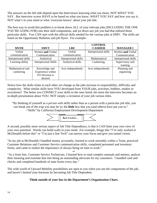The answers on the left side depend upon the Interviewer knowing *what you mean*, NOT WHAT YOU SAY. But interview scores HAVE to be based on what you know, WHAT YOU SAY and how you say it, NOT what's in your mind or what 'everyone knows' about your job title.

The best way to avoid this problem is to break down ALL of your relevant jobs (INCLUDING THE ONE YOU'RE GOING FOR) into their skill components, and jot down any job you had that utilized those particular skills. You CAN start with the official skills needed for the various jobs at DMV. The skills are listed on the Opportunity Bulletins and job flyers. For example:

| <b>MVFR</b>          | <b>SMVT</b>                 | <b>LRE</b>           | <b>CONTROL</b><br><b>CASHIER</b> | <b>MANAGER I</b>     |
|----------------------|-----------------------------|----------------------|----------------------------------|----------------------|
| Verbal               | Written and Verbal          | Verbal               | Interpersonal skills             | Written and Verbal   |
| communication        | Communication               | communication        |                                  | Communication        |
| Interpersonal skills | Analytical                  | Interpersonal skills | Mathematical                     | Interpersonal skills |
| Learning ability     | <b>Interpersonal Skills</b> | Analytical skills    | Cashiering,                      | Supervisory and      |
|                      |                             |                      |                                  | training             |
| Mathematical and     | Knowledge and               | Acts independently   | Acts independently               | Planning and         |
| cashiering           | Experience within           |                      |                                  | organizing           |
|                      | FO Division is              |                      |                                  |                      |
|                      | desired                     |                      |                                  |                      |

Notice how the skills relate to each other yet change as the jobs increase in responsibility, difficulty and complexity. What similar skills have YOU developed from YOUR jobs, activities, hobbies, studies or avocations? The better you CONNECT your skills to the ones listed, the more the interview becomes an in-depth presentation about YOU; NOT simply a recitation of your job various titles.

 "By thinking of yourself as a *person with skills* rather than as a person with a particular job title, you can break out of the *trap* you may be in; the **little** box that you (and others) have put you in." -"Skills" by California Employment Development Department



A second, possibly more serious aspect of Job Title Dependence, is that it CAN limit your own view of your own potential. Words can build walls in your mind. For example, things like "I've only worked at McDonalds before this" or "I'm just a line Tech" can narrow your focus and give you tunnel vision.

"In my job at McDonalds I handled money accurately, learned to work smoothly within a Team, practiced Customer Relations and Customer Service communication skills, completed personnel and inventory forms, and came to realize the importance of always being on time to work."

"As a front line, Customer Service Technician, I learned how to read complex manuals and memos, analyze their meaning and translate that into being an outstanding advocate for my customers. I handled cash and checks and completed hundreds of state forms every day."

*or* 

The wide world of Upward Mobility possibilities are open to you when you see the components of the job, and haven't limited your horizons by becoming Job Title Dependent.

# **Think outside of your box in the Department's Organization Chart.**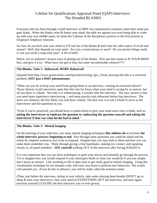# Lifeline for Qualifications Appraisal Panel (QAP) Interviews: The Dreaded BLANKS

Everyone who has been through a QAP Interview at DMV has experienced a moment when their mind just goes blank. When the blanks seize & freeze your mind, the odds are against you even being able to come up with your own middle name, let alone the 3 phases of the disciplinary process or the first priority in Employee-Employer relations.

So; how do you kick start your mind so it'll sail out of the blanks & back into the calm waters of recall and reason? Well, that depends on your mind. Are you a visual person or aural? Do you picture things easily or can you recall a song with ease? A bit of both?

Below, we've outlined 5 known ways of getting out of the blanks. Pick one that seems to fit YOUR MIND best, and give it a try. What have you got to lose, but some uncomfortable silences????

#### **The Blanks, Take 1: Rehearsal; MORE Rehearsal!**

(Quoted from http://www.quintcareers.com/tips/interviewing\_tips\_2.html, proving that this is a universal problem, **NOT just a DMV phenomenon**).

"What can you do to keep your mind from going blank in an interview, creating an awkward silence? Those silences in job interviews seem like they last for hours when your mind is racing for an answer, but all you draw is a blank. Not only is it embarrassing, it usually kills the interview. The easy answer is that you need more experience interviewing -- and more practice and rehearsals before big interviews. The more you rehearse, the less likely you will draw a blank. The best way is to ask a friend to serve as the interviewer and fire questions at you.

"Even if you've practiced, you should have a system down to give your mind more time to think, such as **asking the interviewer to rephrase the question or rephrasing the question yourself and asking the interviewer if that was what he/she had in mind**."

#### **The Blanks, Take 2: Mental Imaging**

On the morning of your interview, use some mental imaging techniques **like athletes do** to envision **the whole interview process; beginning to end**. Run through some questions you could be asked and the *whole & complete sentences* you'd use to respond. Imagine how you may look to them and how you can make them remember you. Think through giving a firm handshake, making eye contact, and speaking clearly to, all panel members. **SEE yourself** walking OUT of the interview after having NAILED it.

It is very important that you use these techniques to quiet your nerves and mentally go through the process. Try to imagine how you would respond if your mind goes blank or what you would do if you just simply don't know an answer. Like anything in life it takes time to get really good at mental imaging. Using this visualization technique for ten minutes a day will train your brain to perform new behaviors. The results will astound you. If you do this in advance, you will be ready when the moment comes.

(Then, just before the interview, sitting in your vehicle, take some relaxing deep breaths (DON'T go to sleep & miss your interview); clear your mind of EVERYTHING BUT the Interview; and once again, envision yourself LEAVING the best interview you've ever given).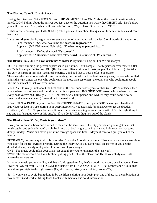#### **The Blanks, Take 3: Bits & Pieces**

During the interview STAY FOCUSED on THE MOMENT; Think ONLY about the current question being asked. DON'T think about the answer you just gave or the question you worry they MIGHT ask. Don't allow yourself to wonder, "Oh, When will this end?" or even, "Yay; I haven't messed up…YET!"

If absolutely necessary, you CAN (ONCE) ask if you can think about that question for a few minutes and come back later.

If your **mind goes blank**, begin the next sentence out of your mouth with the last 3 or 4 words of the question. Panel member: "So, what would be **the best way to proceed?"**

Applicant (MAYBE named Gabriela): "**The best way to proceed** is….."

 Panel member: "Define **the word 'Customer'**." Applicant (MAYBE named Gabriela): "**The word 'Customer**' at DMV means…."

#### **The Blanks, Take 4: Dr. Frankenstein's Monster** ("My name is Legion: For We are many")

TODAY, start building the perfect supervisor in your mind. For Example, That Supervisor over there is a flatout Technical expert in Reg and DL. (But he swears like a sailor and treats people like children….) So, take the very best part of him (his Technical expertise), and add that to your perfect Supervisor.

There was the one who talked calm and reassuring; the one who had the best memory ever; the one who smiled at just the right times; the one who could calm the most irate customers; the other one who could train people like the best teacher that you ever knew.

You HAVE to really think about the best parts of the best supervisors you ever had (in DMV or outside), then take the best parts of each and 'build' your perfect supervisor. IMAGINE ONE person with the best parts from every boss you've had. Really VISUALIZE that newly-built person and KNOW they could handle every situation that ever came up (in an oral or in the real world).

NOW…**PUT A FACE** on your creation. IF YOU'RE SMART, you'll put YOUR face on your handiwork. But whatever face you use, during your QAP Interview if you get stuck for an answer or get the dreaded BLANKS, VISUALIZE your home-built Super-Supervisor rushing to your rescue with JUST the right thing to say and do. Ya gotta work at this one, but if you do, it WILL drag you out of the blanks.

#### **The Blanks, Take 5\*: So, Music is your Muse?**

Have you ever read a book and listened to music at the same time? Twenty years later, you might hear that music again, and suddenly you're right back into that book, right back in that same little room on that same dreary Sunday. Music can move your mind through space and time…Maybe it can even pull you out of the blanks.

PROBABLY, the best way to do this is to select 2, maybe 3 good study songs. Listen to those songs every time you study for the test (written or oral). During the Interview, if you can't recall an answer or you get the dreaded blanks, quickly replay a brief bar or two of your songs.

ONE: The music could relax your brain just enough for you to remember the 'answer'.

TWO: The music could act like a lifeline, pulling you OUT of the blanks and INTO your study materials, where the answers are.

It has to be music you really like, and that is Unforgettable (Ah, that's a good study song, or what about 'Take Five\*"?). Or, can you EVER FORGET the theme from IT'S A SMALL WORLD at Disneyland? Could that tune draw you right to the right answer (Or, alternately, drive you absolutely insane????)

So…If you want to avoid being done-in by the Blanks during your QAP, pick one of these (or a combination of two or more) and work at filling those blanks with memory and solid information.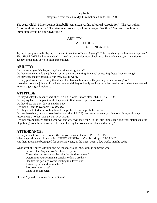#### Triple A

(Reprinted from the 2005 Mgr I Promotional Guide, Jan., 2005)

The Auto Club? Minor League Baseball? American Anthropological Association? The Australian Automobile Association? The American Academy of Audiology? No, this AAA has a much more immediate effect on your own future:

# **A**BILITY  **A**TTITUDE  **A**TTENDANCE

Trying to get promoted? Trying to transfer to another office or Agency? Thinking about your future employment? The official DMV Background check, as well as the employment checks used by any business, organization or agency, often boils down to these three things.

# **ABILITY:**

Can the employee DO the job they're working at right now?

Do they consistently do the job well, or are they just marking time until something 'better' comes along? Do they consistently produce error-free, quality work?

Do they perform in such a way that it's pretty obvious they can do the job they're interviewing for? Have they done the job well for a long time, or did they suddenly get inspired a few weeks back, when they wanted to try and get a good review…

# **ATTITUDE:**

Do they display the mannerisms of "CAN DO!" or is it more often, "DO I HAVE TO"?

Do they try hard to help out, or do they tend to find ways to get out of work?

Do they dress the part, day in and day out?

Are they a *Team Player* or is it *I, Me, My*?

Are they a self-starter or do they have to be pushed to accomplish their tasks.

Do they have high, personal standards (also called PRIDE) that they consistently strive to achieve, or do they

respond with, "What ARE the STANDARDS?"

Are they "team player" helping whoever and wherever they can? Do the little things- stocking work stations instead of grabbing from the window next to them; leaving the work station clean and orderly?

# **ATTENDANCE:**

Do they come to work so consistently that you consider them DEPENDABLE? When they call in sick do you think, "THEY MUST be sick" or is it simply, "AGAIN?" Has their attendance been good for years and years, or did it just begin a few weeks/months back?

What level of Ability, Attitude and Attendance would YOU want in someone who:

Services the Airplane you're about to fly in? Cleans the kitchen at your favorite fast-food restaurant? Determines your retirement benefits or leave credits? Handles the package you're mailing to a loved one? Instructs your children at school? Processes your taxes? Fixes your computer?

Shouldn't you do the same for all of them?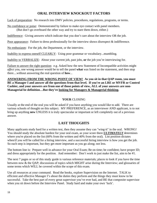# **ORAL INTERVIEW KNOCKOUT FACTORS**

Lack of preparation: No research into DMV policies, procedures, regulations, programs, or terms.

No confidence or poise: Demonstrated by failure to make eye contact with panel members. (But don't go overboard the other way and try to stare them down, either.)

Indifference: Giving answers which indicate that you don't care about the interview OR the job.

Poor appearance: Failure to dress professionally for the interview shows disrespect & indifference.

No enthusiasm: For the job, the Department, or the interview.

Inability to express oneself CLEARLY: Using poor grammar or vocabulary...mumbling.

Inability to VERBALIZE: About your current job, past jobs, **or** the job you're interviewing for.

Failure to answer the right question: e.g. Asked how the new Statement of Incompatible activities might *affect* you, one wrong answer would be to tell the panel **what** was listed on the statement, and then stop there....without answering the real question of **how**...

**ANSWERING FROM THE WRONG POINT OF VIEW! As you sit in that QAP room, you must BE a Manager I and answer all the questions from that level. If you're an LRE or MVFR or Control Cashier, and your answers are from one of those points of view, ALL of your answers are non-Managerial be definition…But they're looking for Managers & Managerial thinking.** 

#### **YOUR** CLOSING

Usually at the end of the oral you will be asked if you have anything you would like to add. There are various schools of thought on this subject. MY PREFERENCE, as an interviewer AND applicant, is to not bring up anything **new** UNLESS it is truly spectacular or important or left completely out of a previous answer.

# **LAST THOUGHTS**

Many applicants study hard for a written test, then they assume they can "wing-it" in the oral. WRONG! You should study the absolute hardest for your oral exam, as your score there *ULTIMATELY* determines where you're placed on the list (60% from the written and 40% from the oral). List position dictates when/if you will be called for a hiring interview, and a successful hiring interview is how you get the job. So each step is important, but they get more important as you go along; not less.

The bottom line is: Prepare well in advance for your Oral Exam; Be on time; be confident; have proper ID; and dress appropriately for the position. And remember: Don't work to just make the list, aim to be #1.

The next 7 pages or so of this study guide is various reference materials; places to look if you have the time between now & the QAP; discussions of topics which MIGHT arise during the Interview; and glossaries of some terms which WILL be covered within the scope of this exam.

Use all resources at your command. Read the books, explore Supervision on the Internet. TALK to efficient and effective Manager I's about the duties they perform and the things they must know to be successful. Take the best part of every great supervisor you've ever had, and BE that composite supervisor when you sit down before the Interview Panel. Study hard and make your own 'luck'.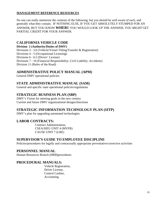#### **MANAGEMENT REFERENCE RESOURCES**

No one can really memorize the contents of the following, but you should be well aware of each, and generally what they contain. IF NOTHING ELSE, IF YOU GET ABSOLUTELY STUMPED FOR AN ANSWER, BUT YOU KNOW **WHER**E YOU WOULD LOOK UP THE ANSWER, YOU *MIGHT* GET PARTIAL CREDIT FOR YOUR ANSWER.

# **CALIFORNIA VEHICLE CODE**

#### **Division 2 (Authority/Duties of DMV)**

Divisions 3 - 3.6 (Vehicle/Vessel Titling/Transfer & Registration)

Divisions 4 - 5 (Occupational Licensing)

Divisions 6 - 6.5 (Divers' License)

Divisions 7 - 10 (Financial Responsibility; Civil Liability; Accidents)

Division 11 (Rules of the Road)

# **ADMINISTRATIVE POLICY MANUAL (APM)**

General DMV operational policies

# **STATE ADMINISTRATIVE MANUAL (SAM)**

General and specific state operational policies/regulations

# **STRATEGIC BUSINESS PLAN (SBP)**

DMV's Vision for meeting goals in the new century Current and future DMV organizational designs/functions

# **STRATEGIC INFORMATION TECHNOLOGY PLAN (SITP)**

DMV's plan for upgrading automated technologies

# **LABOR CONTRACTS:**

Contract Administration, CSEA/SIEU UNIT 4 (MVFR) CAUSE UNIT 7 (LRE)

# **SUPERVISOR'S GUIDE TO EMPLOYEE DISCIPLINE**

Policies/procedures for legally and contractually appropriate preventative/corrective activities

# **PERSONNEL MANUAL**

Human Resources Branch (HRB)procedures

# **PROCEDURAL MANUALS:**

Vehicle Registration, Driver License, Control Cashier, Accounting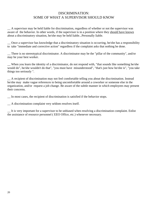# DISCRIMINATION: SOME OF WHAT A SUPERVISOR SHOULD KNOW

\_\_ A supervisor may be held liable for discrimination, regardless of whether or not the supervisor was aware of the behavior. In other words, if the supervisor is in a position where they should have known about a discriminatory situation, he/she may be held liable...Personally liable.

\_\_ Once a supervisor has knowledge that a discriminatory situation is occurring, he/she has a responsibility to take "immediate and corrective action" regardless if the complaint asks that nothing be done.

\_\_ There is no stereotypical discriminator. A discriminator may be the "pillar of the community", and/or may be your best worker.

\_\_ When you learn the identity of a discriminator, do not respond with, "that sounds like something he/she would do", he/she wouldn't do that", "you must have misunderstood", "that's just how he/she is", "you take things too seriously ".

\_\_ A recipient of discrimination may not feel comfortable telling you about the discrimination. Instead he/she may make vague references to being uncomfortable around a coworker or someone else in the organization, and/or request a job change. Be aware of the subtle manner in which employees may present their concerns.

\_\_ In most cases, the recipient of discrimination is satisfied if the behavior stops.

\_\_ A discrimination complaint very seldom resolves itself.

\_\_ It is very important for a supervisor to be unbiased when resolving a discrimination complaint. Enlist the assistance of resource personnel ( EEO Office, etc.) whenever necessary.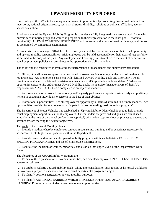# **UPWARD MOBILITY EXPLORED**

It is a policy of the DMV to Ensure equal employment opportunities by prohibiting discrimination based on race, color, national origin, ancestry, sex, marital status, disability, religious or political affiliation, age, or sexual orientation.

A primary goal of the Upward Mobility Program is to achieve a fully integrated state service work force, which mirrors each minority group and women in proportion to their representation in the labor pool. Efforts to provide EQUAL EMPLOYMENT OPPORTUNITY will be made on the basis of merit, efficiency, and fitness as ascertained by competitive examination.

All supervisors and managers SHALL be held directly accountable for performance of their equal opportunity and upward mobility responsibilities. ALL employees will be held accountable for their areas of responsibility as defined in the body of the plan. Any employee who knowingly fails to adhere to the intent of departmental equal employment policies can be subject to the appropriate disciplinary action.

The following are considered in evaluating the performance of management and supervisory personnel:

 1. Hiring: Are all interview questions constructed to assess candidates solely on the basis of pertinent job requirements? Are promotions consistent with identified Upward Mobility goals and priorities? Are all candidates evaluated in a fair and consistent manner so as NOT to preclude viable candidates? Where no opportunity exists to hire and/or meet Upward Mobility goals, is supervisor/manager aware of their AA responsibilities? Are EXEC. 1308's completed in an objective manner?

 2. Performance reports: Are all probationary and/or yearly performance reports constructively and positively written to encourage individuals to perform to the best of their abilities?

 3. Promotional Opportunities: Are all employment opportunity bulletins distributed in a timely manner? Are opportunities provided for employees to participate in career counseling sessions and/or programs?

The Department of Motor Vehicles has established an Upward Mobility Plan which is used to help provide equal employment opportunities for all employees. Career ladders are provided and goals are established annually (at the time of the annual performance appraisal) with action steps to allow employees to develop and advance toward meeting their career objectives.

The goals of the Upward Mobility plan are:

 1. Provide a method whereby employees can obtain counseling, training, and/or experience necessary for advancement into higher level positions within the Department.

 2. Provide career ladders and viable upward mobility programs within each division TAILORED TO SPECIFIC PROGRAM NEEDS and use of civil service classifications.

 3. Facilitate the inclusion of women, minorities, and disabled into upper levels of the Department's work force.

The objectives of the Upward Mobility program are

 1. To ensure the representation of women, minorities, and disabled employees IN ALL CLASSIFICATIONS above clerical levels.

 2. To establish realistic upward mobility goals, taking into consideration such factors as historical workforce turnover rates, projected vacancies, and anticipated departmental program changes.

3. To identify positions targeted for upward mobility purposes.

 4. To identify ARTIFICIAL BARRIERS WHICH PRECLUDE POTENTIAL UPWARD MOBILITY CANDIDATES or otherwise hinder career development opportunities.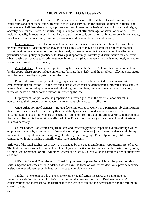# **ABBREVIATED EEO GLOSSARY**

 Equal Employment Opportunity: Provides equal access to all available jobs and training, under equal terms and conditions, and with equal benefits and services, in the absence of actions, policies, and practices which differentiate among applicants and employees on the basis of race, color, national origin, ancestry, sex, marital status, disability, religious or political affiliation, age, or sexual orientation. (This includes equality in recruitment, hiring, layoff, discharge, recall, promotion, training, responsibility, wages, sick leave, vacation, overtime, insurance, retirement and pension benefits, and breaks.)

 Discrimination: The effect of an action, policy, or practice which selects a class of persons to receive unequal treatment. Discrimination may involve a single act or may be a continuing policy or practice. Discrimination may be intentional or unintentional; purpose or intent is irrelevant when the effect of a particular action, policy or practice is to deny equal opportunity. Similarly, discrimination may be overt (that is, using sex or race to discriminate openly) or covert (that is, when a mechanism indirectly related to sex or race is used to discriminate).

 Affected Class: Those groups protected by law, where the "effects" of past discrimination is found by the court. These groups include minorities, females, the elderly, and the disabled. Affected class status must be determined by analysis or court decision.

Protected Class: Legally identified groups that are specifically protected by statute against employment discrimination. Unlike "affected class" which must be demonstrated, protected class status is automatically conferred upon recognized minority group members, females, the elderly and disabled, by virtue of the law or other court decisions interpreting the law.

 Employment Parity: When the proportion of affected groups in the external labor market is equivalent to their proportion in the workforce without reference to classification.

 Underutilization (Deficiencies): Having fewer minorities or women in a particular job classification than would reasonably be expected by their availability (also called under representation). Once underutilization is quantitatively established, the burden of proof rests on the employer to demonstrate that the underutilization is the legitimate effect of Bona Fide Occupational Qualification and valid criteria of business necessity.

 Career Ladder: Jobs which require related and increasingly more responsible duties through which employees advance by experience and in-service training in the lower jobs. Career ladders should be equal in quantitative opportunity and salary range for those jobs having high Equal Opportunity utilization compared with those having primarily white male incumbents.

Title VII of the Civil Rights Act of 1964 as Amended by the Equal Employment Opportunity Act of 1972: The first legislation to make it an unlawful employment practice to discriminate on the basis of race, color, religion, sex, or national origin. All other Federal and State EEO legislation is patterned after or supportive of Title VII.

 EEOC: A Federal Commission on Equal Employment Opportunity which has the power to bring suits, subpoena witnesses, issue guidelines which have the force of law, render decisions, provide technical assistance to employers, provide legal assistance to complainants, etc.

 Validity: The extent to which a test, criterion, or qualification measures the trait (some job performance ability) for which it is being used, rather than some other trait. "Business necessity" considerations are addressed to the usefulness of the test in predicting job performance and the minimum cut-off scores.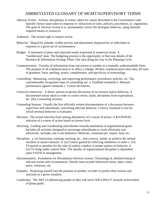# ABBREVIATED GLOSSARY OF MGMT/SUPERVISORY TERMS

- Adverse Action: Actions, disciplinary in nature, taken for causes described in the Government Code. Specific formal steps taken in response to infractions of rules, policies, procedures, or regulations. The goal of Adverse Action is to permanently correct the divergent behavior, using minimal required means or resources.
- Authority: The formal right to require action.
- Behavior: Shaped by attitude; visible activity and deportment displayed by an individual in response to a given set of circumstances
- Budget: A statement of plans and expected results expressed in numerical terms. A "numberized" plan. The budgeting process is the opportunity to fine tune details of the Business & Information Strategy Plans. One step along the way in the Planning Cycle.
- Communication: Transfer of information from one person to another in a mutually understandable form. The purpose of all communication is to affect a change. Written communication must obey all rules of grammar, form, spelling, syntax, completeness, and specificity of terminology.
- Controlling: Measuring, correcting, and improving performance, procedures, policies, etc. The conventionally recognized steps of controlling are: a. Establish standards b. Measure performance against standards c. Correct deviations.
- Corrective Interview: A direct, person-to-person discussion of occurrence and/or behavior; A documented action taken in order to correct errors, faults, deviations from expectations, etc. (See Counseling session)
- Counseling Session: Usually the first officially written documentation of a discussion between supervisor and subordinate, concerning aberrant behavior. Criteria: Standard or test by which terminal behavior is evaluated.
- Decision: The actual selection from among alternatives of a course of action. A RATIONAL selection of a course of action based on known facts
- Directing: Guiding and coordinating subordinates towards attainment of organizational goals. Includes all activities designed to encourage subordinates to work efficiently and effectively. Includes, but is not limited to: Motivate, communicate, inspire, lead, etc.
- Discipline: a. (n) Instruction, training, teaching, etc., that corrects, molds, or perfects the mental faculties or moral character. b. (n) Control gained by enforcing obedience or order c. (vt) To punish or penalize for the sake of orderly conduct or proper pattern of behavior. d. (vt) To bring under control Note: The Quality of organizational discipline is dependent upon FAITH in management.
- Documentation: Foundation for Disciplinary/Adverse actions. Chronological, detailed listing of relevant events and circumstances. Details must include behavioral terms, dates, times, place, witnesses, etc.
- Empathy: Projecting oneself into the position of another, in order to predict their actions and reactions to a given situation.
- Leadership: The ART of influencing people so they will strive WILLINGLY towards achievement of group goals.